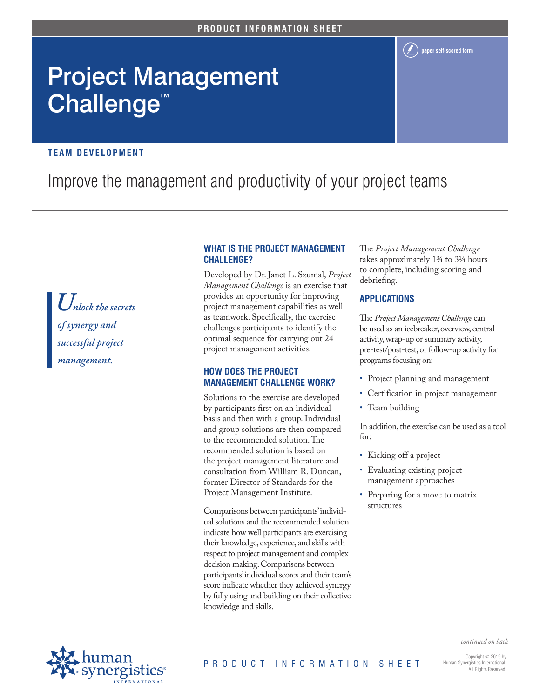# Project Management Challenge<sup>™</sup>

#### **T e am DE V ELO P MENT**

## Improve the management and productivity of your project teams

*Unlock the secrets of synergy and successful project management.*

#### **What is the Project Management Challenge?**

Developed by Dr. Janet L. Szumal, *Project Management Challenge* is an exercise that provides an opportunity for improving project management capabilities as well as teamwork. Specifically, the exercise challenges participants to identify the optimal sequence for carrying out 24 project management activities.

### **How does the Project Management Challenge work?**

Solutions to the exercise are developed by participants first on an individual basis and then with a group. Individual and group solutions are then compared to the recommended solution. The recommended solution is based on the project management literature and consultation from William R. Duncan, former Director of Standards for the Project Management Institute.

Comparisons between participants' individual solutions and the recommended solution indicate how well participants are exercising their knowledge, experience, and skills with respect to project management and complex decision making. Comparisons between participants' individual scores and their team's score indicate whether they achieved synergy by fully using and building on their collective knowledge and skills.

The *Project Management Challenge*  takes approximately 1¾ to 3¼ hours to complete, including scoring and debriefing.

**paper self-scored form**

#### **Applications**

The *Project Management Challenge* can be used as an icebreaker, overview, central activity, wrap-up or summary activity, pre-test/post-test, or follow-up activity for programs focusing on:

- Project planning and management
- Certification in project management
- Team building

In addition, the exercise can be used as a tool for:

- Kicking off a project
- Evaluating existing project management approaches
- Preparing for a move to matrix structures